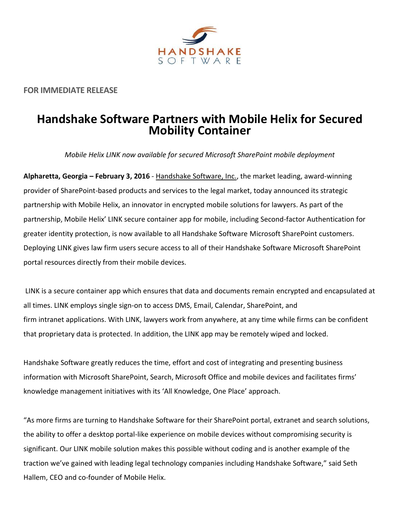

**FOR IMMEDIATE RELEASE**

## **Handshake Software Partners with Mobile Helix for Secured Mobility Container**

*Mobile Helix LINK now available for secured Microsoft SharePoint mobile deployment*

**Alpharetta, Georgia – February 3, 2016** - Handshake [Software, Inc.,](http://www.handshakesoftware.com/) the market leading, award-winning provider of SharePoint-based products and services to the legal market, today announced its strategic partnership with Mobile Helix, an innovator in encrypted mobile solutions for lawyers. As part of the partnership, Mobile Helix' LINK secure container app for mobile, including Second-factor Authentication for greater identity protection, is now available to all Handshake Software Microsoft SharePoint customers. Deploying LINK gives law firm users secure access to all of their Handshake Software Microsoft SharePoint portal resources directly from their mobile devices.

LINK is a secure container app which ensures that data and documents remain encrypted and encapsulated at all times. LINK employs single sign-on to access DMS, Email, Calendar, SharePoint, and firm intranet applications. With LINK, lawyers work from anywhere, at any time while firms can be confident that proprietary data is protected. In addition, the LINK app may be remotely wiped and locked.

Handshake Software greatly reduces the time, effort and cost of integrating and presenting business information with Microsoft SharePoint, Search, Microsoft Office and mobile devices and facilitates firms' knowledge management initiatives with its 'All Knowledge, One Place' approach.

"As more firms are turning to Handshake Software for their SharePoint portal, extranet and search solutions, the ability to offer a desktop portal-like experience on mobile devices without compromising security is significant. Our LINK mobile solution makes this possible without coding and is another example of the traction we've gained with leading legal technology companies including Handshake Software," said Seth Hallem, CEO and co-founder of Mobile Helix.